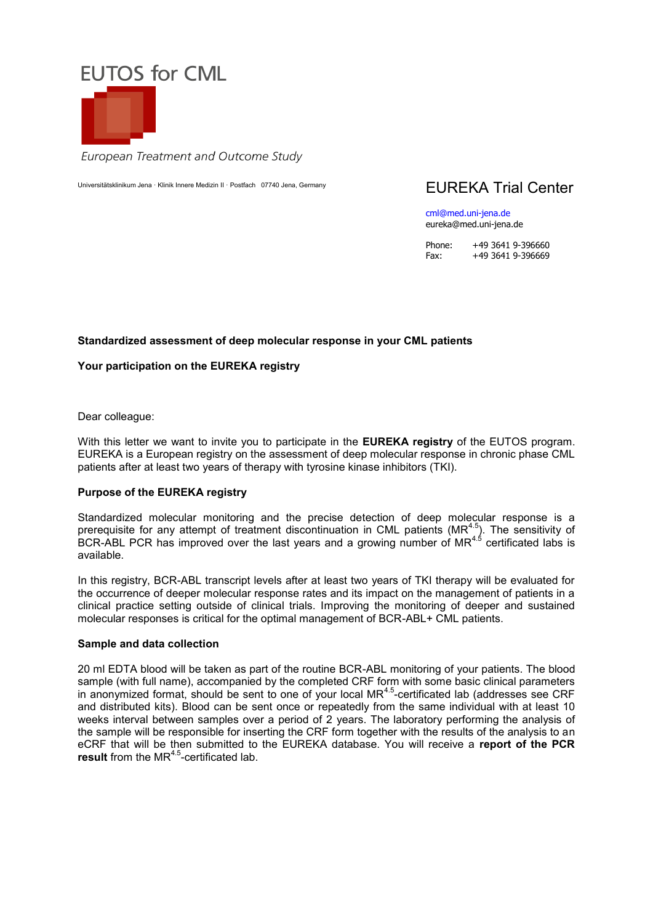

European Treatment and Outcome Study

Universitätsklinikum Jena · Klinik Innere Medizin II · Postfach 07740 Jena, Germany FIIRFKA Trial Center

cml@med.uni-jena.de eureka@med.uni-jena.de

Phone: +49 3641 9-396660 Fax: +49 3641 9-396669

# **Standardized assessment of deep molecular response in your CML patients**

# **Your participation on the EUREKA registry**

Dear colleague:

With this letter we want to invite you to participate in the **EUREKA registry** of the EUTOS program. EUREKA is a European registry on the assessment of deep molecular response in chronic phase CML patients after at least two years of therapy with tyrosine kinase inhibitors (TKI).

#### **Purpose of the EUREKA registry**

Standardized molecular monitoring and the precise detection of deep molecular response is a prerequisite for any attempt of treatment discontinuation in CML patients (MR<sup>4.5</sup>). The sensitivity of BCR-ABL PCR has improved over the last years and a growing number of MR $^{4.5}$  certificated labs is available.

In this registry, BCR-ABL transcript levels after at least two years of TKI therapy will be evaluated for the occurrence of deeper molecular response rates and its impact on the management of patients in a clinical practice setting outside of clinical trials. Improving the monitoring of deeper and sustained molecular responses is critical for the optimal management of BCR-ABL+ CML patients.

### **Sample and data collection**

20 ml EDTA blood will be taken as part of the routine BCR-ABL monitoring of your patients. The blood sample (with full name), accompanied by the completed CRF form with some basic clinical parameters in anonymized format, should be sent to one of your local MR $4.5$ -certificated lab (addresses see CRF and distributed kits). Blood can be sent once or repeatedly from the same individual with at least 10 weeks interval between samples over a period of 2 years. The laboratory performing the analysis of the sample will be responsible for inserting the CRF form together with the results of the analysis to an eCRF that will be then submitted to the EUREKA database. You will receive a **report of the PCR**  result from the MR<sup>4.5</sup>-certificated lab.